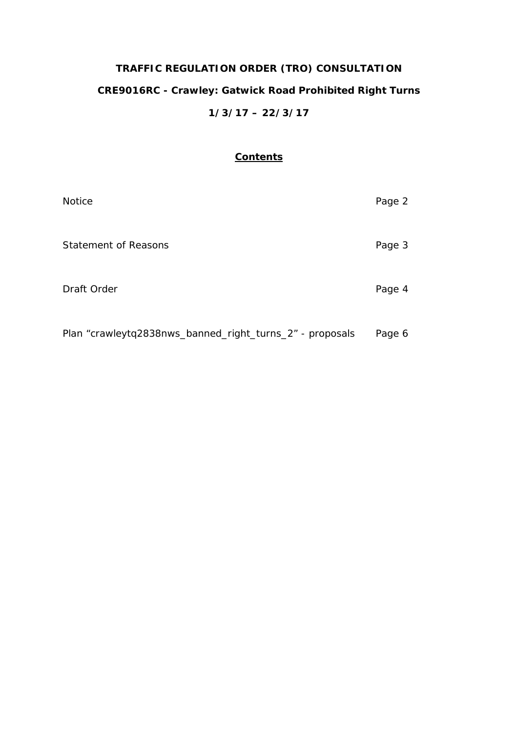# **TRAFFIC REGULATION ORDER (TRO) CONSULTATION CRE9016RC - Crawley: Gatwick Road Prohibited Right Turns 1/3/17 – 22/3/17**

## **Contents**

| <b>Notice</b>                                            | Page 2 |
|----------------------------------------------------------|--------|
| <b>Statement of Reasons</b>                              | Page 3 |
| Draft Order                                              | Page 4 |
| Plan "crawleytq2838nws_banned_right_turns_2" - proposals | Page 6 |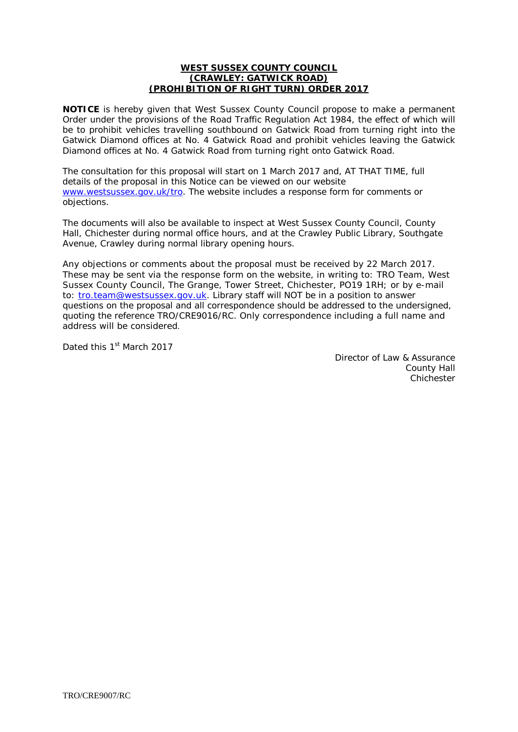## **WEST SUSSEX COUNTY COUNCIL (CRAWLEY: GATWICK ROAD) (PROHIBITION OF RIGHT TURN) ORDER 2017**

**NOTICE** is hereby given that West Sussex County Council propose to make a permanent Order under the provisions of the Road Traffic Regulation Act 1984, the effect of which will be to prohibit vehicles travelling southbound on Gatwick Road from turning right into the Gatwick Diamond offices at No. 4 Gatwick Road and prohibit vehicles leaving the Gatwick Diamond offices at No. 4 Gatwick Road from turning right onto Gatwick Road.

The consultation for this proposal will start on 1 March 2017 and, AT THAT TIME, full details of the proposal in this Notice can be viewed on our website [www.westsussex.gov.uk/tro.](http://www.westsussex.gov.uk/tro) The website includes a response form for comments or objections.

The documents will also be available to inspect at West Sussex County Council, County Hall, Chichester during normal office hours, and at the Crawley Public Library, Southgate Avenue, Crawley during normal library opening hours.

Any objections or comments about the proposal must be received by 22 March 2017. These may be sent via the response form on the website, in writing to: TRO Team, West Sussex County Council, The Grange, Tower Street, Chichester, PO19 1RH; or by e-mail to: [tro.team@westsussex.gov.uk.](mailto:tro.team@westsussex.gov.uk) Library staff will NOT be in a position to answer questions on the proposal and all correspondence should be addressed to the undersigned, quoting the reference TRO/CRE9016/RC. Only correspondence including a full name and address will be considered.

Dated this 1<sup>st</sup> March 2017

Director of Law & Assurance County Hall **Chichester**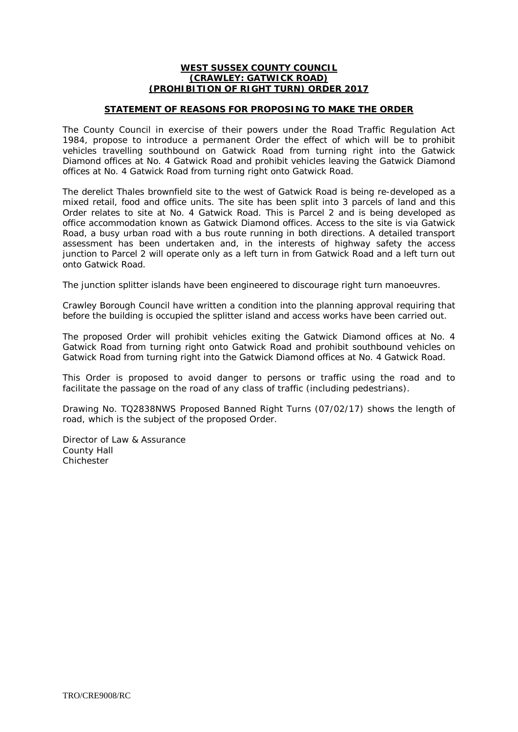### **WEST SUSSEX COUNTY COUNCIL (CRAWLEY: GATWICK ROAD) (PROHIBITION OF RIGHT TURN) ORDER 2017**

## **STATEMENT OF REASONS FOR PROPOSING TO MAKE THE ORDER**

The County Council in exercise of their powers under the Road Traffic Regulation Act 1984, propose to introduce a permanent Order the effect of which will be to prohibit vehicles travelling southbound on Gatwick Road from turning right into the Gatwick Diamond offices at No. 4 Gatwick Road and prohibit vehicles leaving the Gatwick Diamond offices at No. 4 Gatwick Road from turning right onto Gatwick Road.

The derelict Thales brownfield site to the west of Gatwick Road is being re-developed as a mixed retail, food and office units. The site has been split into 3 parcels of land and this Order relates to site at No. 4 Gatwick Road. This is Parcel 2 and is being developed as office accommodation known as Gatwick Diamond offices. Access to the site is via Gatwick Road, a busy urban road with a bus route running in both directions. A detailed transport assessment has been undertaken and, in the interests of highway safety the access junction to Parcel 2 will operate only as a left turn in from Gatwick Road and a left turn out onto Gatwick Road.

The junction splitter islands have been engineered to discourage right turn manoeuvres.

Crawley Borough Council have written a condition into the planning approval requiring that before the building is occupied the splitter island and access works have been carried out.

The proposed Order will prohibit vehicles exiting the Gatwick Diamond offices at No. 4 Gatwick Road from turning right onto Gatwick Road and prohibit southbound vehicles on Gatwick Road from turning right into the Gatwick Diamond offices at No. 4 Gatwick Road.

This Order is proposed to avoid danger to persons or traffic using the road and to facilitate the passage on the road of any class of traffic (including pedestrians).

Drawing No. TQ2838NWS Proposed Banned Right Turns (07/02/17) shows the length of road, which is the subject of the proposed Order.

Director of Law & Assurance County Hall **Chichester**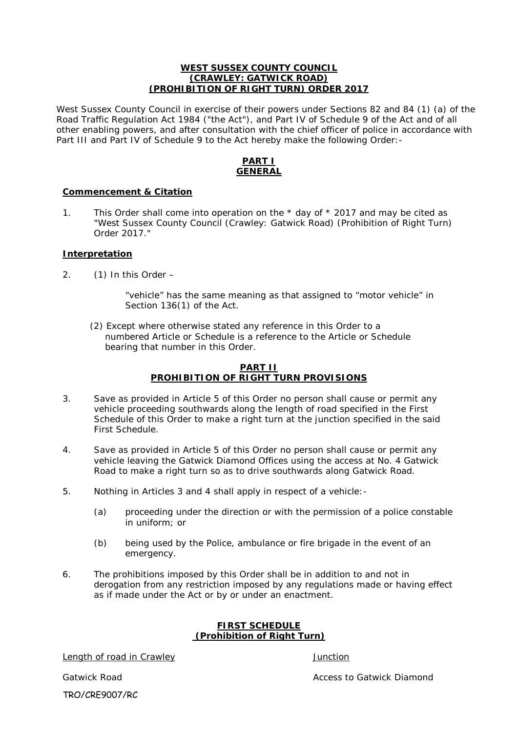## **WEST SUSSEX COUNTY COUNCIL (CRAWLEY: GATWICK ROAD) (PROHIBITION OF RIGHT TURN) ORDER 2017**

West Sussex County Council in exercise of their powers under Sections 82 and 84 (1) (a) of the Road Traffic Regulation Act 1984 ("the Act"), and Part IV of Schedule 9 of the Act and of all other enabling powers, and after consultation with the chief officer of police in accordance with Part III and Part IV of Schedule 9 to the Act hereby make the following Order: -

## **PART I GENERAL**

## **Commencement & Citation**

1. This Order shall come into operation on the  $*$  day of  $*$  2017 and may be cited as "West Sussex County Council (Crawley: Gatwick Road) (Prohibition of Right Turn) Order 2017."

## **Interpretation**

2.  $(1)$  In this Order –

"vehicle" has the same meaning as that assigned to "motor vehicle" in Section 136(1) of the Act.

 (2) Except where otherwise stated any reference in this Order to a numbered Article or Schedule is a reference to the Article or Schedule bearing that number in this Order.

## **PART II PROHIBITION OF RIGHT TURN PROVISIONS**

- 3. Save as provided in Article 5 of this Order no person shall cause or permit any vehicle proceeding southwards along the length of road specified in the First Schedule of this Order to make a right turn at the junction specified in the said First Schedule.
- 4. Save as provided in Article 5 of this Order no person shall cause or permit any vehicle leaving the Gatwick Diamond Offices using the access at No. 4 Gatwick Road to make a right turn so as to drive southwards along Gatwick Road.
- 5. Nothing in Articles 3 and 4 shall apply in respect of a vehicle:-
	- (a) proceeding under the direction or with the permission of a police constable in uniform; or
	- (b) being used by the Police, ambulance or fire brigade in the event of an emergency.
- 6. The prohibitions imposed by this Order shall be in addition to and not in derogation from any restriction imposed by any regulations made or having effect as if made under the Act or by or under an enactment.

#### **FIRST SCHEDULE (Prohibition of Right Turn)**

Length of road in Crawley **Container and Crawley Container and Crawley** Junction

TRO/CRE9007/RC

Gatwick Road **Access to Gatwick Diamond Access to Gatwick Diamond**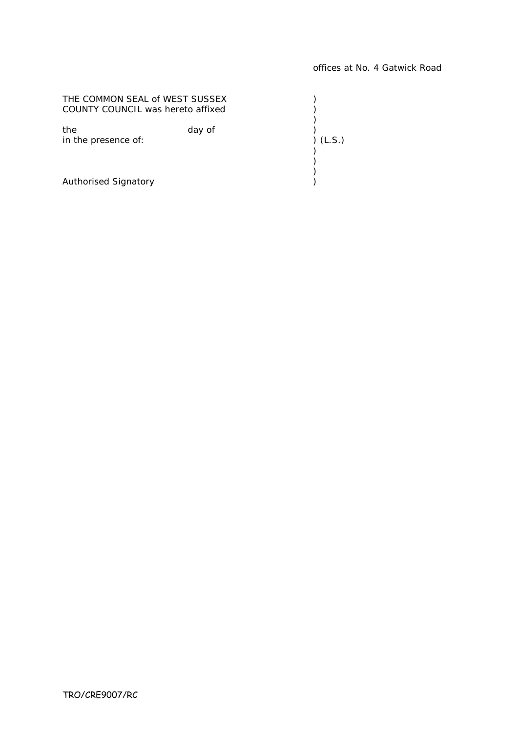| THE COMMON SEAL of WEST SUSSEX    |        |          |
|-----------------------------------|--------|----------|
| COUNTY COUNCIL was hereto affixed |        |          |
| the<br>in the presence of:        | day of | ) (L.S.) |
|                                   |        |          |
| <b>Authorised Signatory</b>       |        |          |